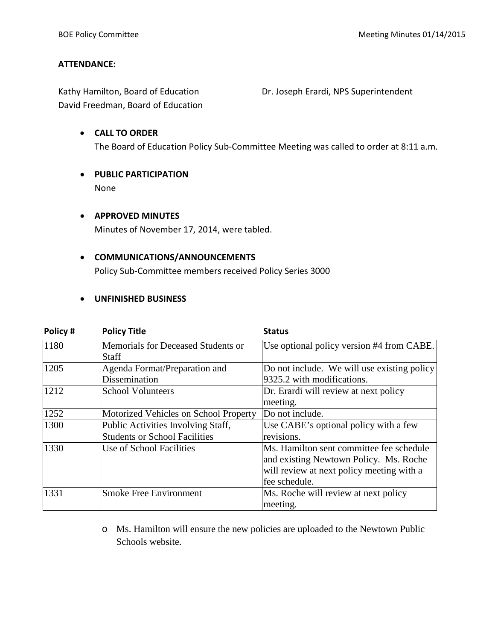### **ATTENDANCE:**

Kathy Hamilton, Board of Education **Dr. Joseph Erardi, NPS Superintendent** David Freedman, Board of Education

# • **CALL TO ORDER** The Board of Education Policy Sub-Committee Meeting was called to order at 8:11 a.m.

• **PUBLIC PARTICIPATION** None

# • **APPROVED MINUTES**

Minutes of November 17, 2014, were tabled.

## • **COMMUNICATIONS/ANNOUNCEMENTS**

Policy Sub-Committee members received Policy Series 3000

### • **UNFINISHED BUSINESS**

| Policy# | <b>Policy Title</b>                   | <b>Status</b>                               |  |
|---------|---------------------------------------|---------------------------------------------|--|
| 1180    | Memorials for Deceased Students or    | Use optional policy version #4 from CABE.   |  |
|         | Staff                                 |                                             |  |
| 1205    | Agenda Format/Preparation and         | Do not include. We will use existing policy |  |
|         | Dissemination                         | 9325.2 with modifications.                  |  |
| 1212    | <b>School Volunteers</b>              | Dr. Erardi will review at next policy       |  |
|         |                                       | meeting.                                    |  |
| 1252    | Motorized Vehicles on School Property | Do not include.                             |  |
| 1300    | Public Activities Involving Staff,    | Use CABE's optional policy with a few       |  |
|         | <b>Students or School Facilities</b>  | revisions.                                  |  |
| 1330    | Use of School Facilities              | Ms. Hamilton sent committee fee schedule    |  |
|         |                                       | and existing Newtown Policy. Ms. Roche      |  |
|         |                                       | will review at next policy meeting with a   |  |
|         |                                       | fee schedule.                               |  |
| 1331    | <b>Smoke Free Environment</b>         | Ms. Roche will review at next policy        |  |
|         |                                       | meeting.                                    |  |

o Ms. Hamilton will ensure the new policies are uploaded to the Newtown Public Schools website.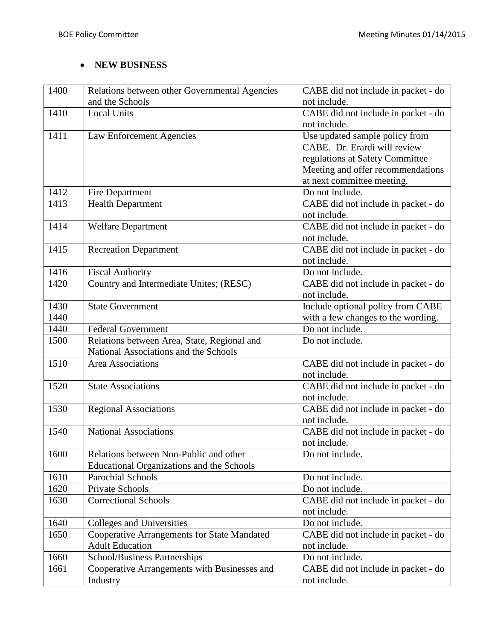# • **NEW BUSINESS**

| 1400 | Relations between other Governmental Agencies    | CABE did not include in packet - do |
|------|--------------------------------------------------|-------------------------------------|
|      | and the Schools                                  | not include.                        |
| 1410 | <b>Local Units</b>                               | CABE did not include in packet - do |
|      |                                                  | not include.                        |
| 1411 | Law Enforcement Agencies                         | Use updated sample policy from      |
|      |                                                  | CABE. Dr. Erardi will review        |
|      |                                                  | regulations at Safety Committee     |
|      |                                                  | Meeting and offer recommendations   |
|      |                                                  | at next committee meeting.          |
| 1412 | Fire Department                                  | Do not include.                     |
| 1413 | <b>Health Department</b>                         | CABE did not include in packet - do |
|      |                                                  | not include.                        |
| 1414 | <b>Welfare Department</b>                        | CABE did not include in packet - do |
|      |                                                  | not include.                        |
| 1415 | Recreation Department                            | CABE did not include in packet - do |
|      |                                                  | not include.                        |
| 1416 | <b>Fiscal Authority</b>                          | Do not include.                     |
| 1420 | Country and Intermediate Unites; (RESC)          | CABE did not include in packet - do |
|      |                                                  | not include.                        |
| 1430 | <b>State Government</b>                          | Include optional policy from CABE   |
| 1440 |                                                  | with a few changes to the wording.  |
| 1440 | <b>Federal Government</b>                        | Do not include.                     |
| 1500 | Relations between Area, State, Regional and      | Do not include.                     |
|      | National Associations and the Schools            |                                     |
| 1510 | Area Associations                                | CABE did not include in packet - do |
|      |                                                  | not include.                        |
| 1520 | <b>State Associations</b>                        | CABE did not include in packet - do |
|      |                                                  | not include.                        |
| 1530 | <b>Regional Associations</b>                     | CABE did not include in packet - do |
|      |                                                  | not include.                        |
| 1540 | <b>National Associations</b>                     | CABE did not include in packet - do |
|      |                                                  | not include.                        |
| 1600 | Relations between Non-Public and other           | Do not include.                     |
|      | <b>Educational Organizations and the Schools</b> |                                     |
| 1610 | <b>Parochial Schools</b>                         | Do not include.                     |
| 1620 | Private Schools                                  | Do not include.                     |
| 1630 | <b>Correctional Schools</b>                      | CABE did not include in packet - do |
|      |                                                  | not include.                        |
| 1640 | <b>Colleges and Universities</b>                 | Do not include.                     |
| 1650 | Cooperative Arrangements for State Mandated      | CABE did not include in packet - do |
|      | <b>Adult Education</b>                           | not include.                        |
| 1660 | School/Business Partnerships                     | Do not include.                     |
| 1661 | Cooperative Arrangements with Businesses and     | CABE did not include in packet - do |
|      | Industry                                         | not include.                        |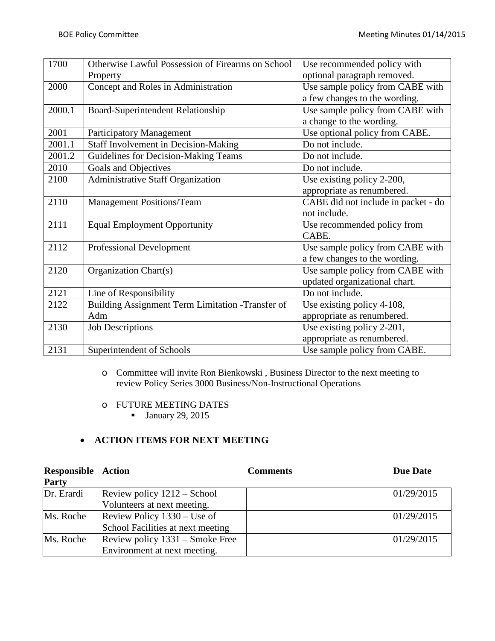| 1700   | Otherwise Lawful Possession of Firearms on School | Use recommended policy with         |  |
|--------|---------------------------------------------------|-------------------------------------|--|
|        | Property                                          | optional paragraph removed.         |  |
| 2000   | Concept and Roles in Administration               | Use sample policy from CABE with    |  |
|        |                                                   | a few changes to the wording.       |  |
| 2000.1 | Board-Superintendent Relationship                 | Use sample policy from CABE with    |  |
|        |                                                   | a change to the wording.            |  |
| 2001   | <b>Participatory Management</b>                   | Use optional policy from CABE.      |  |
| 2001.1 | <b>Staff Involvement in Decision-Making</b>       | Do not include.                     |  |
| 2001.2 | Guidelines for Decision-Making Teams              | Do not include.                     |  |
| 2010   | Goals and Objectives                              | Do not include.                     |  |
| 2100   | Administrative Staff Organization                 | Use existing policy 2-200,          |  |
|        |                                                   | appropriate as renumbered.          |  |
| 2110   | <b>Management Positions/Team</b>                  | CABE did not include in packet - do |  |
|        |                                                   | not include.                        |  |
| 2111   | <b>Equal Employment Opportunity</b>               | Use recommended policy from         |  |
|        |                                                   | CABE.                               |  |
| 2112   | <b>Professional Development</b>                   | Use sample policy from CABE with    |  |
|        |                                                   | a few changes to the wording.       |  |
| 2120   | Organization Chart(s)                             | Use sample policy from CABE with    |  |
|        |                                                   | updated organizational chart.       |  |
| 2121   | Line of Responsibility                            | Do not include.                     |  |
| 2122   | Building Assignment Term Limitation -Transfer of  | Use existing policy 4-108,          |  |
|        | Adm                                               | appropriate as renumbered.          |  |
| 2130   | <b>Job Descriptions</b>                           | Use existing policy 2-201,          |  |
|        |                                                   | appropriate as renumbered.          |  |
| 2131   | Superintendent of Schools                         | Use sample policy from CABE.        |  |

o Committee will invite Ron Bienkowski , Business Director to the next meeting to review Policy Series 3000 Business/Non-Instructional Operations

- o FUTURE MEETING DATES
	- $\blacksquare$  January 29, 2015

## • **ACTION ITEMS FOR NEXT MEETING**

| <b>Responsible Action</b> |                                   | <b>Comments</b> | <b>Due Date</b> |
|---------------------------|-----------------------------------|-----------------|-----------------|
| Party                     |                                   |                 |                 |
| Dr. Erardi                | Review policy 1212 – School       |                 | 01/29/2015      |
|                           | Volunteers at next meeting.       |                 |                 |
| Ms. Roche                 | Review Policy $1330 - Use$ of     |                 | 01/29/2015      |
|                           | School Facilities at next meeting |                 |                 |
| Ms. Roche                 | Review policy 1331 – Smoke Free   |                 | 01/29/2015      |
|                           | Environment at next meeting.      |                 |                 |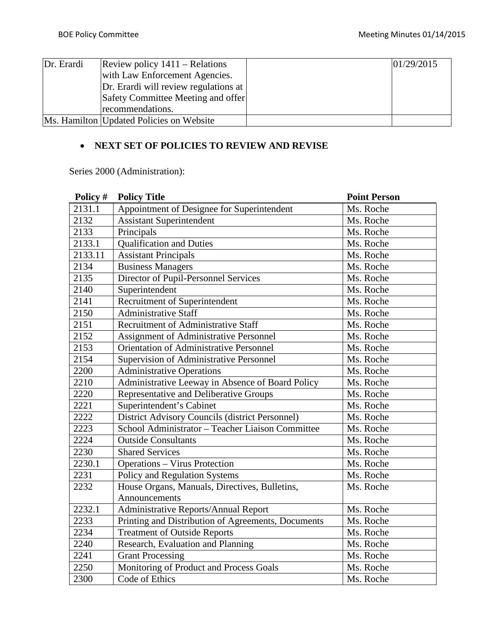| Dr. Erardi | Review policy $1411 -$ Relations         | 01/29/2015 |
|------------|------------------------------------------|------------|
|            | with Law Enforcement Agencies.           |            |
|            | Dr. Erardi will review regulations at    |            |
|            | Safety Committee Meeting and offer       |            |
|            | recommendations.                         |            |
|            | Ms. Hamilton Updated Policies on Website |            |

# • **NEXT SET OF POLICIES TO REVIEW AND REVISE**

Series 2000 (Administration):

| Policy # | <b>Policy Title</b>                                | <b>Point Person</b> |
|----------|----------------------------------------------------|---------------------|
| 2131.1   | Appointment of Designee for Superintendent         | Ms. Roche           |
| 2132     | <b>Assistant Superintendent</b>                    | Ms. Roche           |
| 2133     | Principals                                         | Ms. Roche           |
| 2133.1   | <b>Qualification and Duties</b>                    | Ms. Roche           |
| 2133.11  | <b>Assistant Principals</b>                        | Ms. Roche           |
| 2134     | <b>Business Managers</b>                           | Ms. Roche           |
| 2135     | Director of Pupil-Personnel Services               | Ms. Roche           |
| 2140     | Superintendent                                     | Ms. Roche           |
| 2141     | Recruitment of Superintendent                      | Ms. Roche           |
| 2150     | <b>Administrative Staff</b>                        | Ms. Roche           |
| 2151     | Recruitment of Administrative Staff                | Ms. Roche           |
| 2152     | Assignment of Administrative Personnel             | Ms. Roche           |
| 2153     | <b>Orientation of Administrative Personnel</b>     | Ms. Roche           |
| 2154     | Supervision of Administrative Personnel            | Ms. Roche           |
| 2200     | <b>Administrative Operations</b>                   | Ms. Roche           |
| 2210     | Administrative Leeway in Absence of Board Policy   | Ms. Roche           |
| 2220     | Representative and Deliberative Groups             | Ms. Roche           |
| 2221     | Superintendent's Cabinet                           | Ms. Roche           |
| 2222     | District Advisory Councils (district Personnel)    | Ms. Roche           |
| 2223     | School Administrator - Teacher Liaison Committee   | Ms. Roche           |
| 2224     | <b>Outside Consultants</b>                         | Ms. Roche           |
| 2230     | <b>Shared Services</b>                             | Ms. Roche           |
| 2230.1   | <b>Operations - Virus Protection</b>               | Ms. Roche           |
| 2231     | Policy and Regulation Systems                      | Ms. Roche           |
| 2232     | House Organs, Manuals, Directives, Bulletins,      | Ms. Roche           |
|          | Announcements                                      |                     |
| 2232.1   | Administrative Reports/Annual Report               | Ms. Roche           |
| 2233     | Printing and Distribution of Agreements, Documents | Ms. Roche           |
| 2234     | <b>Treatment of Outside Reports</b>                | Ms. Roche           |
| 2240     | Research, Evaluation and Planning                  | Ms. Roche           |
| 2241     | <b>Grant Processing</b>                            | Ms. Roche           |
| 2250     | Monitoring of Product and Process Goals            | Ms. Roche           |
| 2300     | Code of Ethics                                     | Ms. Roche           |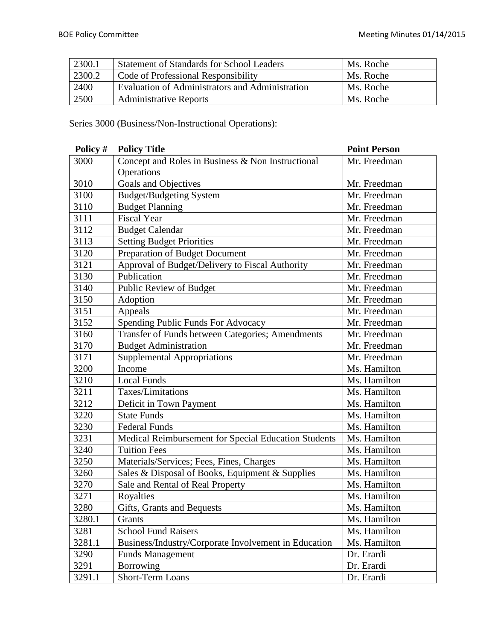| 2300.1 | <b>Statement of Standards for School Leaders</b> | Ms. Roche |
|--------|--------------------------------------------------|-----------|
| 2300.2 | Code of Professional Responsibility              | Ms. Roche |
| 2400   | Evaluation of Administrators and Administration  | Ms. Roche |
| 2500   | <b>Administrative Reports</b>                    | Ms. Roche |

Series 3000 (Business/Non-Instructional Operations):

| Policy # | <b>Policy Title</b>                                  | <b>Point Person</b> |
|----------|------------------------------------------------------|---------------------|
| 3000     | Concept and Roles in Business & Non Instructional    | Mr. Freedman        |
|          | Operations                                           |                     |
| 3010     | Goals and Objectives                                 | Mr. Freedman        |
| 3100     | <b>Budget/Budgeting System</b>                       | Mr. Freedman        |
| 3110     | <b>Budget Planning</b>                               | Mr. Freedman        |
| 3111     | <b>Fiscal Year</b>                                   | Mr. Freedman        |
| 3112     | <b>Budget Calendar</b>                               | Mr. Freedman        |
| 3113     | <b>Setting Budget Priorities</b>                     | Mr. Freedman        |
| 3120     | Preparation of Budget Document                       | Mr. Freedman        |
| 3121     | Approval of Budget/Delivery to Fiscal Authority      | Mr. Freedman        |
| 3130     | Publication                                          | Mr. Freedman        |
| 3140     | Public Review of Budget                              | Mr. Freedman        |
| 3150     | Adoption                                             | Mr. Freedman        |
| 3151     | Appeals                                              | Mr. Freedman        |
| 3152     | Spending Public Funds For Advocacy                   | Mr. Freedman        |
| 3160     | Transfer of Funds between Categories; Amendments     | Mr. Freedman        |
| 3170     | <b>Budget Administration</b>                         | Mr. Freedman        |
| 3171     | <b>Supplemental Appropriations</b>                   | Mr. Freedman        |
| 3200     | Income                                               | Ms. Hamilton        |
| 3210     | <b>Local Funds</b>                                   | Ms. Hamilton        |
| 3211     | Taxes/Limitations                                    | Ms. Hamilton        |
| 3212     | Deficit in Town Payment                              | Ms. Hamilton        |
| 3220     | <b>State Funds</b>                                   | Ms. Hamilton        |
| 3230     | <b>Federal Funds</b>                                 | Ms. Hamilton        |
| 3231     | Medical Reimbursement for Special Education Students | Ms. Hamilton        |
| 3240     | <b>Tuition Fees</b>                                  | Ms. Hamilton        |
| 3250     | Materials/Services; Fees, Fines, Charges             | Ms. Hamilton        |
| 3260     | Sales & Disposal of Books, Equipment & Supplies      | Ms. Hamilton        |
| 3270     | Sale and Rental of Real Property                     | Ms. Hamilton        |
| 3271     | Royalties                                            | Ms. Hamilton        |
| 3280     | Gifts, Grants and Bequests                           | Ms. Hamilton        |
| 3280.1   | Grants                                               | Ms. Hamilton        |
| 3281     | <b>School Fund Raisers</b>                           | Ms. Hamilton        |
| 3281.1   | Business/Industry/Corporate Involvement in Education | Ms. Hamilton        |
| 3290     | <b>Funds Management</b>                              | Dr. Erardi          |
| 3291     | Borrowing                                            | Dr. Erardi          |
| 3291.1   | <b>Short-Term Loans</b>                              | Dr. Erardi          |